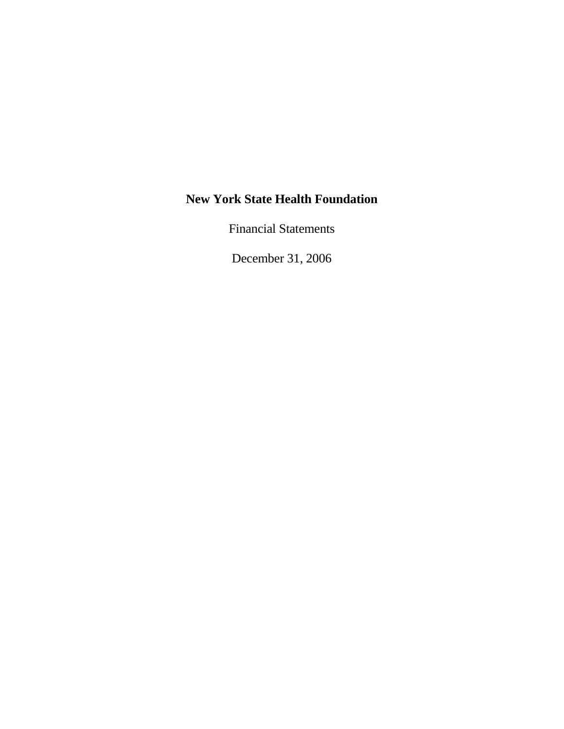Financial Statements

December 31, 2006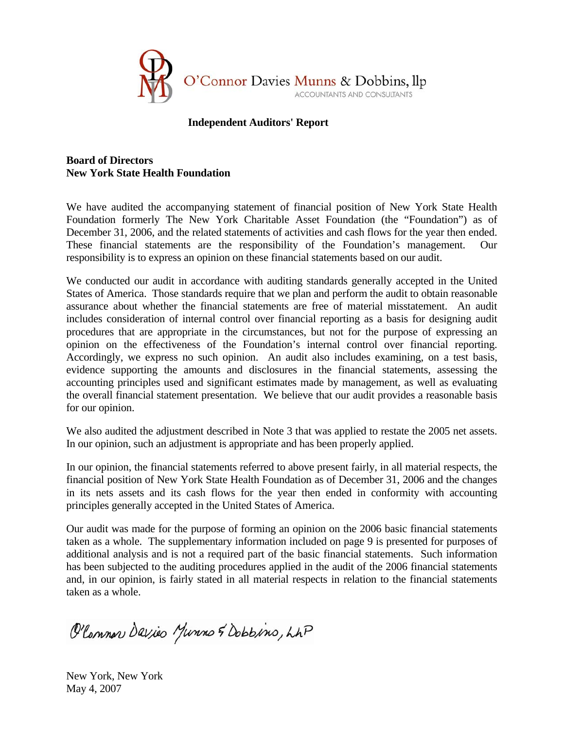

#### **Independent Auditors' Report**

# **Board of Directors New York State Health Foundation**

We have audited the accompanying statement of financial position of New York State Health Foundation formerly The New York Charitable Asset Foundation (the "Foundation") as of December 31, 2006, and the related statements of activities and cash flows for the year then ended. These financial statements are the responsibility of the Foundation's management. Our responsibility is to express an opinion on these financial statements based on our audit.

We conducted our audit in accordance with auditing standards generally accepted in the United States of America. Those standards require that we plan and perform the audit to obtain reasonable assurance about whether the financial statements are free of material misstatement. An audit includes consideration of internal control over financial reporting as a basis for designing audit procedures that are appropriate in the circumstances, but not for the purpose of expressing an opinion on the effectiveness of the Foundation's internal control over financial reporting. Accordingly, we express no such opinion. An audit also includes examining, on a test basis, evidence supporting the amounts and disclosures in the financial statements, assessing the accounting principles used and significant estimates made by management, as well as evaluating the overall financial statement presentation. We believe that our audit provides a reasonable basis for our opinion.

We also audited the adjustment described in Note 3 that was applied to restate the 2005 net assets. In our opinion, such an adjustment is appropriate and has been properly applied.

In our opinion, the financial statements referred to above present fairly, in all material respects, the financial position of New York State Health Foundation as of December 31, 2006 and the changes in its nets assets and its cash flows for the year then ended in conformity with accounting principles generally accepted in the United States of America.

Our audit was made for the purpose of forming an opinion on the 2006 basic financial statements taken as a whole. The supplementary information included on page 9 is presented for purposes of additional analysis and is not a required part of the basic financial statements. Such information has been subjected to the auditing procedures applied in the audit of the 2006 financial statements and, in our opinion, is fairly stated in all material respects in relation to the financial statements taken as a whole.

O'Common Davies Munns & Dobbins, LAP

New York, New York May 4, 2007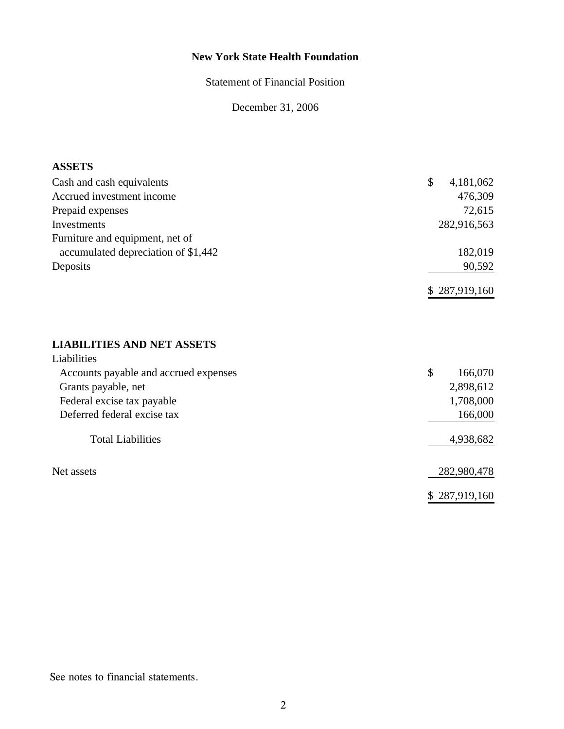Statement of Financial Position

December 31, 2006

#### **ASSETS**

| Cash and cash equivalents           | 4,181,062<br>\$ |
|-------------------------------------|-----------------|
| Accrued investment income           | 476,309         |
| Prepaid expenses                    | 72,615          |
| Investments                         | 282,916,563     |
| Furniture and equipment, net of     |                 |
| accumulated depreciation of \$1,442 | 182,019         |
| Deposits                            | 90,592          |
|                                     | \$287,919,160   |

# **LIABILITIES AND NET ASSETS**

| Liabilities                           |               |
|---------------------------------------|---------------|
| Accounts payable and accrued expenses | \$<br>166,070 |
| Grants payable, net                   | 2,898,612     |
| Federal excise tax payable            | 1,708,000     |
| Deferred federal excise tax           | 166,000       |
| <b>Total Liabilities</b>              | 4,938,682     |
| Net assets                            | 282,980,478   |
|                                       | \$287,919,160 |

See notes to financial statements.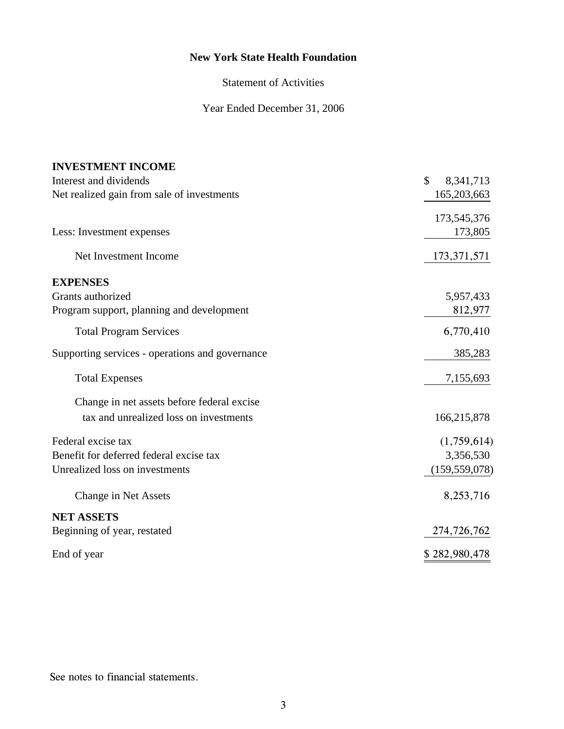Statement of Activities

Year Ended December 31, 2006

| <b>INVESTMENT INCOME</b>                        |                 |
|-------------------------------------------------|-----------------|
| Interest and dividends                          | \$<br>8,341,713 |
| Net realized gain from sale of investments      | 165,203,663     |
|                                                 | 173,545,376     |
| Less: Investment expenses                       | 173,805         |
| Net Investment Income                           | 173, 371, 571   |
| <b>EXPENSES</b>                                 |                 |
| Grants authorized                               | 5,957,433       |
| Program support, planning and development       | 812,977         |
| <b>Total Program Services</b>                   | 6,770,410       |
| Supporting services - operations and governance | 385,283         |
| <b>Total Expenses</b>                           | 7,155,693       |
| Change in net assets before federal excise      |                 |
| tax and unrealized loss on investments          | 166,215,878     |
| Federal excise tax                              | (1,759,614)     |
| Benefit for deferred federal excise tax         | 3,356,530       |
| Unrealized loss on investments                  | (159, 559, 078) |
| Change in Net Assets                            | 8,253,716       |
| <b>NET ASSETS</b>                               |                 |
| Beginning of year, restated                     | 274,726,762     |
| End of year                                     | \$282,980,478   |

See notes to financial statements.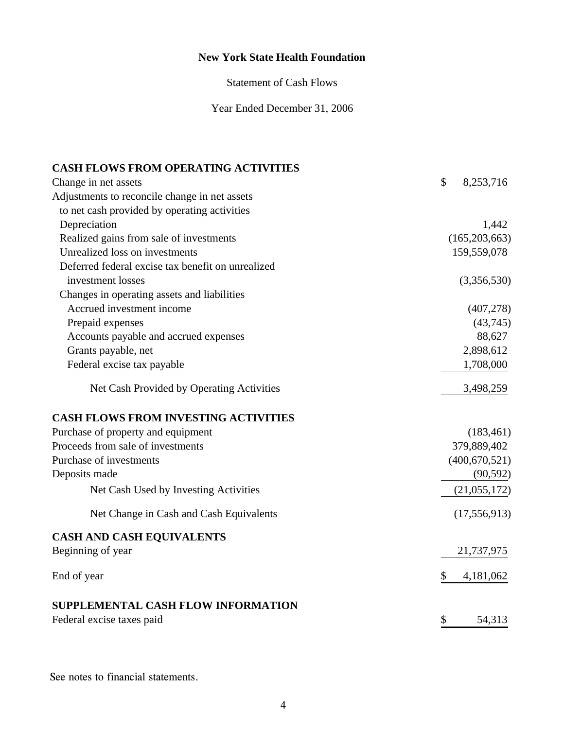Statement of Cash Flows

Year Ended December 31, 2006

# **CASH FLOWS FROM OPERATING ACTIVITIES**

| Change in net assets                              | \$<br>8,253,716 |
|---------------------------------------------------|-----------------|
| Adjustments to reconcile change in net assets     |                 |
| to net cash provided by operating activities      |                 |
| Depreciation                                      | 1,442           |
| Realized gains from sale of investments           | (165, 203, 663) |
| Unrealized loss on investments                    | 159,559,078     |
| Deferred federal excise tax benefit on unrealized |                 |
| investment losses                                 | (3,356,530)     |
| Changes in operating assets and liabilities       |                 |
| Accrued investment income                         | (407, 278)      |
| Prepaid expenses                                  | (43,745)        |
| Accounts payable and accrued expenses             | 88,627          |
| Grants payable, net                               | 2,898,612       |
| Federal excise tax payable                        | 1,708,000       |
| Net Cash Provided by Operating Activities         | 3,498,259       |
| <b>CASH FLOWS FROM INVESTING ACTIVITIES</b>       |                 |
| Purchase of property and equipment                | (183, 461)      |
| Proceeds from sale of investments                 | 379,889,402     |
| Purchase of investments                           | (400, 670, 521) |
| Deposits made                                     | (90, 592)       |
| Net Cash Used by Investing Activities             | (21,055,172)    |
| Net Change in Cash and Cash Equivalents           | (17, 556, 913)  |
| <b>CASH AND CASH EQUIVALENTS</b>                  |                 |
| Beginning of year                                 | 21,737,975      |
| End of year                                       | \$<br>4,181,062 |
| <b>SUPPLEMENTAL CASH FLOW INFORMATION</b>         |                 |
| Federal excise taxes paid                         | \$<br>54,313    |

See notes to financial statements.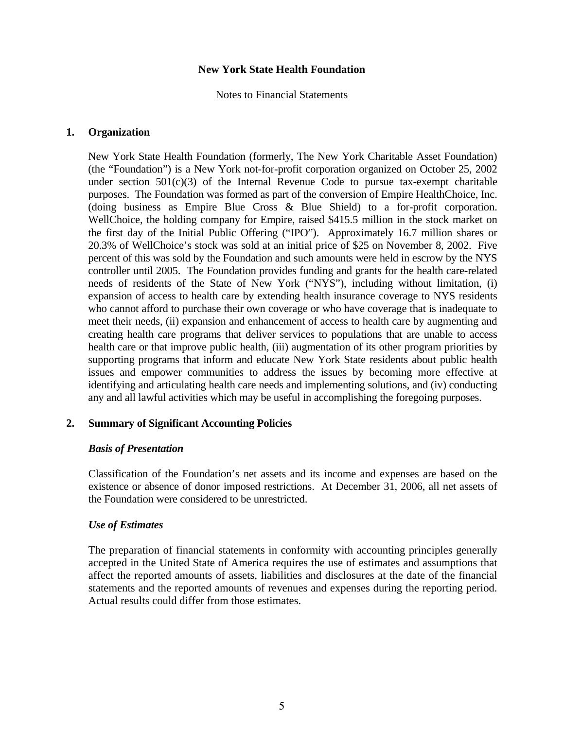Notes to Financial Statements

#### **1. Organization**

 New York State Health Foundation (formerly, The New York Charitable Asset Foundation) (the "Foundation") is a New York not-for-profit corporation organized on October 25, 2002 under section  $501(c)(3)$  of the Internal Revenue Code to pursue tax-exempt charitable purposes. The Foundation was formed as part of the conversion of Empire HealthChoice, Inc. (doing business as Empire Blue Cross & Blue Shield) to a for-profit corporation. WellChoice, the holding company for Empire, raised \$415.5 million in the stock market on the first day of the Initial Public Offering ("IPO"). Approximately 16.7 million shares or 20.3% of WellChoice's stock was sold at an initial price of \$25 on November 8, 2002. Five percent of this was sold by the Foundation and such amounts were held in escrow by the NYS controller until 2005. The Foundation provides funding and grants for the health care-related needs of residents of the State of New York ("NYS"), including without limitation, (i) expansion of access to health care by extending health insurance coverage to NYS residents who cannot afford to purchase their own coverage or who have coverage that is inadequate to meet their needs, (ii) expansion and enhancement of access to health care by augmenting and creating health care programs that deliver services to populations that are unable to access health care or that improve public health, (iii) augmentation of its other program priorities by supporting programs that inform and educate New York State residents about public health issues and empower communities to address the issues by becoming more effective at identifying and articulating health care needs and implementing solutions, and (iv) conducting any and all lawful activities which may be useful in accomplishing the foregoing purposes.

# **2. Summary of Significant Accounting Policies**

#### *Basis of Presentation*

Classification of the Foundation's net assets and its income and expenses are based on the existence or absence of donor imposed restrictions. At December 31, 2006, all net assets of the Foundation were considered to be unrestricted.

# *Use of Estimates*

 The preparation of financial statements in conformity with accounting principles generally accepted in the United State of America requires the use of estimates and assumptions that affect the reported amounts of assets, liabilities and disclosures at the date of the financial statements and the reported amounts of revenues and expenses during the reporting period. Actual results could differ from those estimates.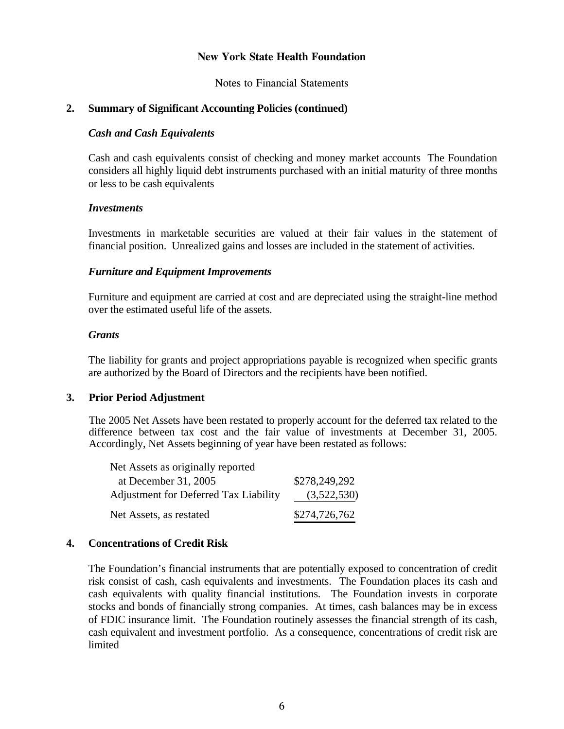Notes to Financial Statements

# **2. Summary of Significant Accounting Policies (continued)**

#### *Cash and Cash Equivalents*

 Cash and cash equivalents consist of checking and money market accounts The Foundation considers all highly liquid debt instruments purchased with an initial maturity of three months or less to be cash equivalents

#### *Investments*

 Investments in marketable securities are valued at their fair values in the statement of financial position. Unrealized gains and losses are included in the statement of activities.

#### *Furniture and Equipment Improvements*

 Furniture and equipment are carried at cost and are depreciated using the straight-line method over the estimated useful life of the assets.

#### *Grants*

 The liability for grants and project appropriations payable is recognized when specific grants are authorized by the Board of Directors and the recipients have been notified.

#### **3. Prior Period Adjustment**

The 2005 Net Assets have been restated to properly account for the deferred tax related to the difference between tax cost and the fair value of investments at December 31, 2005. Accordingly, Net Assets beginning of year have been restated as follows:

| Net Assets as originally reported     |               |
|---------------------------------------|---------------|
| at December 31, 2005                  | \$278,249,292 |
| Adjustment for Deferred Tax Liability | (3,522,530)   |
| Net Assets, as restated               | \$274,726,762 |

#### **4. Concentrations of Credit Risk**

 The Foundation's financial instruments that are potentially exposed to concentration of credit risk consist of cash, cash equivalents and investments. The Foundation places its cash and cash equivalents with quality financial institutions. The Foundation invests in corporate stocks and bonds of financially strong companies. At times, cash balances may be in excess of FDIC insurance limit. The Foundation routinely assesses the financial strength of its cash, cash equivalent and investment portfolio. As a consequence, concentrations of credit risk are **limited**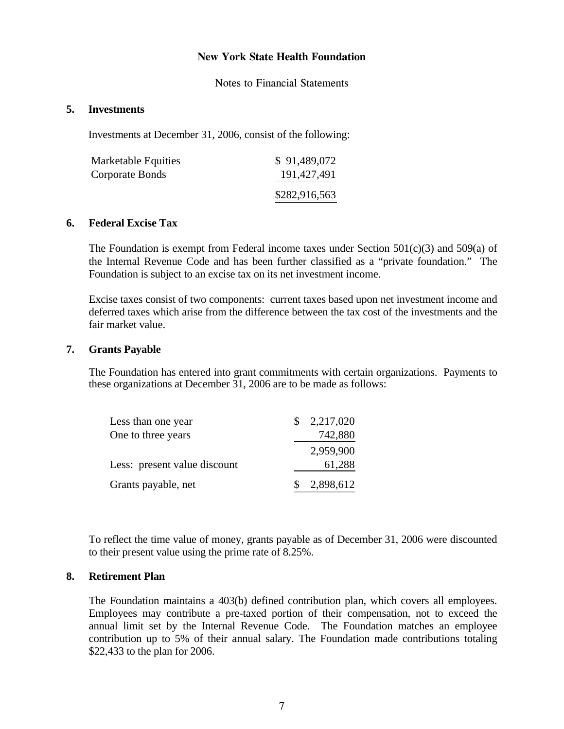Notes to Financial Statements

#### **5. Investments**

Investments at December 31, 2006, consist of the following:

| Marketable Equities | \$91,489,072  |
|---------------------|---------------|
| Corporate Bonds     | 191,427,491   |
|                     | \$282,916,563 |

# **6. Federal Excise Tax**

The Foundation is exempt from Federal income taxes under Section  $501(c)(3)$  and  $509(a)$  of the Internal Revenue Code and has been further classified as a "private foundation." The Foundation is subject to an excise tax on its net investment income.

 Excise taxes consist of two components: current taxes based upon net investment income and deferred taxes which arise from the difference between the tax cost of the investments and the fair market value.

#### **7. Grants Payable**

 The Foundation has entered into grant commitments with certain organizations. Payments to these organizations at December 31, 2006 are to be made as follows:

| Less than one year           | 2,217,020   |
|------------------------------|-------------|
| One to three years           | 742,880     |
|                              | 2,959,900   |
| Less: present value discount | 61,288      |
| Grants payable, net          | \$2,898,612 |

To reflect the time value of money, grants payable as of December 31, 2006 were discounted to their present value using the prime rate of 8.25%.

#### **8. Retirement Plan**

The Foundation maintains a 403(b) defined contribution plan, which covers all employees. Employees may contribute a pre-taxed portion of their compensation, not to exceed the annual limit set by the Internal Revenue Code. The Foundation matches an employee contribution up to 5% of their annual salary. The Foundation made contributions totaling \$22,433 to the plan for 2006.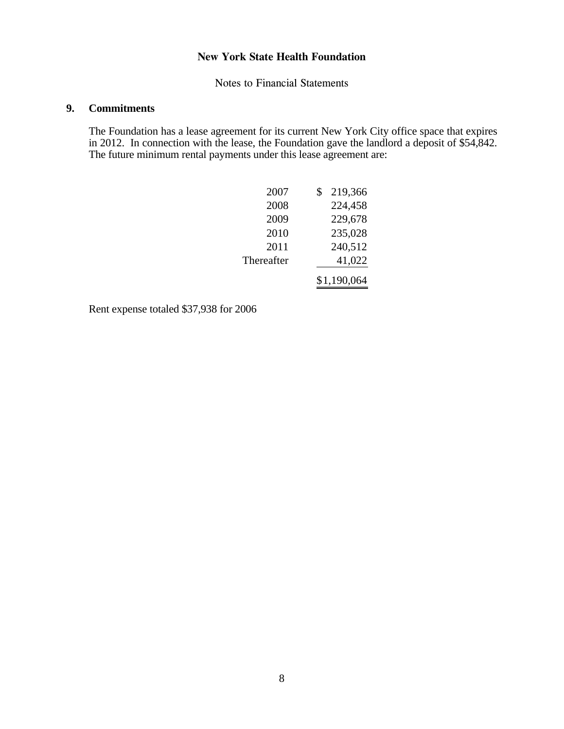Notes to Financial Statements

# **9. Commitments**

 The Foundation has a lease agreement for its current New York City office space that expires in 2012. In connection with the lease, the Foundation gave the landlord a deposit of \$54,842. The future minimum rental payments under this lease agreement are:

| 2007       | S | 219,366     |
|------------|---|-------------|
| 2008       |   | 224,458     |
| 2009       |   | 229,678     |
| 2010       |   | 235,028     |
| 2011       |   | 240,512     |
| Thereafter |   | 41,022      |
|            |   | \$1,190,064 |

Rent expense totaled \$37,938 for 2006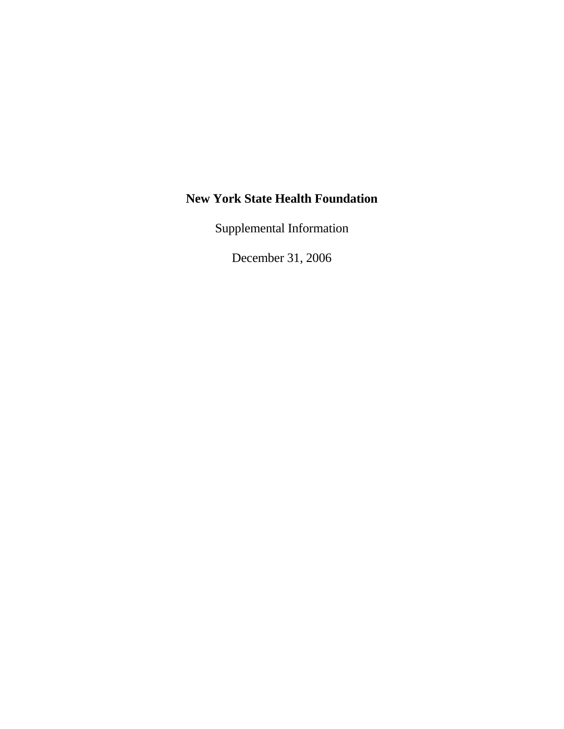Supplemental Information

December 31, 2006